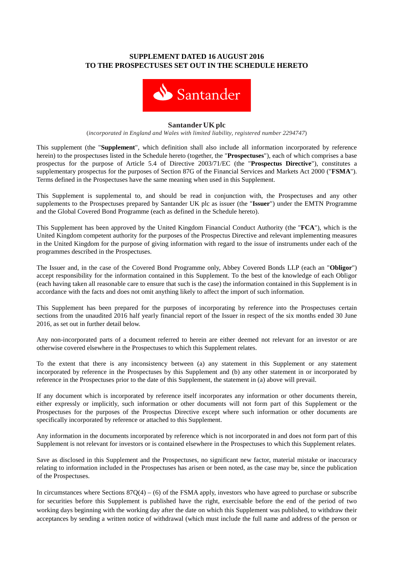# **SUPPLEMENT DATED 16 AUGUST 2016 TO THE PROSPECTUSES SET OUT IN THE SCHEDULE HERETO**



#### **Santander UK plc**

(*incorporated in England and Wales with limited liability, registered number 2294747*)

This supplement (the "**Supplement**", which definition shall also include all information incorporated by reference herein) to the prospectuses listed in the Schedule hereto (together, the "**Prospectuses**"), each of which comprises a base prospectus for the purpose of Article 5.4 of Directive 2003/71/EC (the "**Prospectus Directive**"), constitutes a supplementary prospectus for the purposes of Section 87G of the Financial Services and Markets Act 2000 ("**FSMA**"). Terms defined in the Prospectuses have the same meaning when used in this Supplement.

This Supplement is supplemental to, and should be read in conjunction with, the Prospectuses and any other supplements to the Prospectuses prepared by Santander UK plc as issuer (the "**Issuer**") under the EMTN Programme and the Global Covered Bond Programme (each as defined in the Schedule hereto).

This Supplement has been approved by the United Kingdom Financial Conduct Authority (the "**FCA**"), which is the United Kingdom competent authority for the purposes of the Prospectus Directive and relevant implementing measures in the United Kingdom for the purpose of giving information with regard to the issue of instruments under each of the programmes described in the Prospectuses.

The Issuer and, in the case of the Covered Bond Programme only, Abbey Covered Bonds LLP (each an "**Obligor**") accept responsibility for the information contained in this Supplement. To the best of the knowledge of each Obligor (each having taken all reasonable care to ensure that such is the case) the information contained in this Supplement is in accordance with the facts and does not omit anything likely to affect the import of such information.

This Supplement has been prepared for the purposes of incorporating by reference into the Prospectuses certain sections from the unaudited 2016 half yearly financial report of the Issuer in respect of the six months ended 30 June 2016, as set out in further detail below.

Any non-incorporated parts of a document referred to herein are either deemed not relevant for an investor or are otherwise covered elsewhere in the Prospectuses to which this Supplement relates.

To the extent that there is any inconsistency between (a) any statement in this Supplement or any statement incorporated by reference in the Prospectuses by this Supplement and (b) any other statement in or incorporated by reference in the Prospectuses prior to the date of this Supplement, the statement in (a) above will prevail.

If any document which is incorporated by reference itself incorporates any information or other documents therein, either expressly or implicitly, such information or other documents will not form part of this Supplement or the Prospectuses for the purposes of the Prospectus Directive except where such information or other documents are specifically incorporated by reference or attached to this Supplement.

Any information in the documents incorporated by reference which is not incorporated in and does not form part of this Supplement is not relevant for investors or is contained elsewhere in the Prospectuses to which this Supplement relates.

Save as disclosed in this Supplement and the Prospectuses, no significant new factor, material mistake or inaccuracy relating to information included in the Prospectuses has arisen or been noted, as the case may be, since the publication of the Prospectuses.

In circumstances where Sections  $87Q(4) - (6)$  of the FSMA apply, investors who have agreed to purchase or subscribe for securities before this Supplement is published have the right, exercisable before the end of the period of two working days beginning with the working day after the date on which this Supplement was published, to withdraw their acceptances by sending a written notice of withdrawal (which must include the full name and address of the person or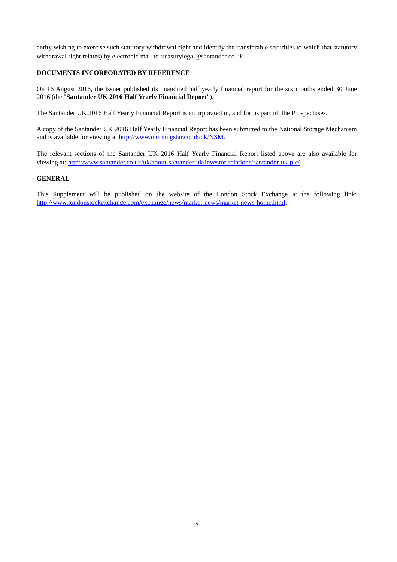entity wishing to exercise such statutory withdrawal right and identify the transferable securities to which that statutory withdrawal right relates) by electronic mail to treasurylegal@santander.co.uk.

## **DOCUMENTS INCORPORATED BY REFERENCE**

On 16 August 2016, the Issuer published its unaudited half yearly financial report for the six months ended 30 June 2016 (the "**Santander UK 2016 Half Yearly Financial Report**").

The Santander UK 2016 Half Yearly Financial Report is incorporated in, and forms part of, the Prospectuses.

A copy of the Santander UK 2016 Half Yearly Financial Report has been submitted to the National Storage Mechanism and is available for viewing at http://www.morningstar.co.uk/uk/NSM.

The relevant sections of the Santander UK 2016 Half Yearly Financial Report listed above are also available for viewing at: http://www.santander.co.uk/uk/about-santander-uk/investor-relations/santander-uk-plc/.

#### **GENERAL**

This Supplement will be published on the website of the London Stock Exchange at the following link: http://www.londonstockexchange.com/exchange/news/market-news/market-news-home.html.